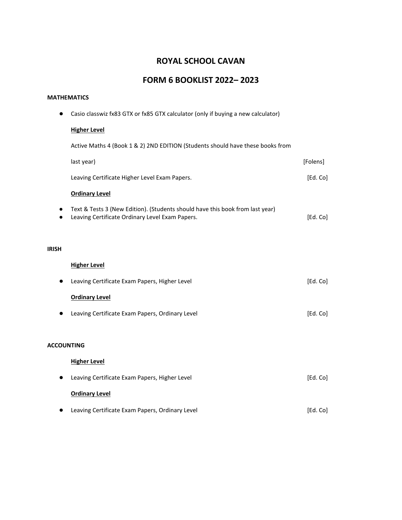# **ROYAL SCHOOL CAVAN**

# **FORM 6 BOOKLIST 2022– 2023**

#### **MATHEMATICS**

● Casio classwiz fx83 GTX or fx85 GTX calculator (only if buying a new calculator) **Higher Level** Active Maths 4 (Book 1 & 2) 2ND EDITION (Students should have these books from last year) [Folens] Leaving Certificate Higher Level Exam Papers. **[Ed. Co]** [Ed. Co] **Ordinary Level** ● Text & Tests 3 (New Edition). (Students should have this book from last year) ● Leaving Certificate Ordinary Level Exam Papers. **Ed. Co**] **IRISH Higher Level** ● Leaving Certificate Exam Papers, Higher Level **by Communicating Communication** [Ed. Co] **Ordinary Level** ● Leaving Certificate Exam Papers, Ordinary Level **by Communicating Communication** [Ed. Co] **ACCOUNTING Higher Level** ● Leaving Certificate Exam Papers, Higher Level **by Community** and Collection (Ed. Co] **Ordinary Level** ● Leaving Certificate Exam Papers, Ordinary Level **by Communication** and Collection (Ed. Co]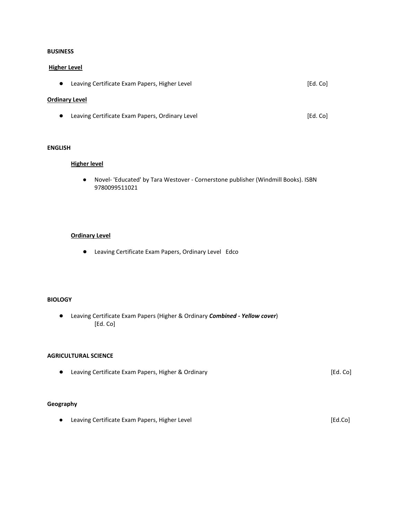### **BUSINESS**

#### **Higher Level**

● Leaving Certificate Exam Papers, Higher Level intervalsed and the settle and settled and [Ed. Co]

### **Ordinary Level**

● Leaving Certificate Exam Papers, Ordinary Level **by Communication** and Collection (Ed. Co]

## **ENGLISH**

#### **Higher level**

● Novel- 'Educated' by Tara Westover - Cornerstone publisher (Windmill Books). ISBN 9780099511021

#### **Ordinary Level**

● Leaving Certificate Exam Papers, Ordinary Level Edco

#### **BIOLOGY**

● Leaving Certificate Exam Papers (Higher & Ordinary *Combined - Yellow cover*) [Ed. Co]

#### **AGRICULTURAL SCIENCE**

● Leaving Certificate Exam Papers, Higher & Ordinary **bead and the Contract Contract Contract Contract Contract Contract Contract Contract Contract Contract Contract Contract Contract Contract Contract Contract Contract C** 

## **Geography**

● Leaving Certificate Exam Papers, Higher Level 2002 2008 2009 2012 2012 2013 2014 2014 2015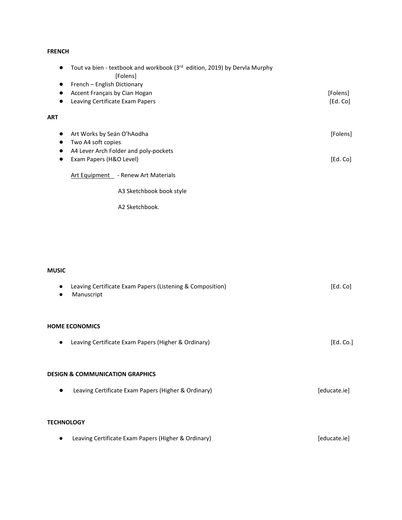## **FRENCH**

| $\bullet$  | Tout va bien - textbook and workbook (3rd edition, 2019) by Dervla Murphy<br>[Folens] |          |
|------------|---------------------------------------------------------------------------------------|----------|
|            | French - English Dictionary                                                           |          |
|            | Accent Français by Cian Hogan                                                         | [Folens] |
|            | Leaving Certificate Exam Papers                                                       | [Ed. Co] |
| <b>ART</b> |                                                                                       |          |
| $\bullet$  | Art Works by Seán O'hAodha                                                            | [Folens] |
|            | Two A4 soft copies                                                                    |          |
| ٠          | A4 Lever Arch Folder and poly-pockets                                                 |          |
|            | Exam Papers (H&O Level)                                                               | [Ed. Co] |
|            | Art Equipment - Renew Art Materials                                                   |          |
|            | A3 Sketchbook book style                                                              |          |
|            | A2 Sketchbook.                                                                        |          |
|            |                                                                                       |          |
|            |                                                                                       |          |
|            |                                                                                       |          |
|            |                                                                                       |          |
|            |                                                                                       |          |

# **MUSIC**

| Manuscript                                 | Leaving Certificate Exam Papers (Listening & Composition) | [Ed. Co]     |  |
|--------------------------------------------|-----------------------------------------------------------|--------------|--|
| <b>HOME ECONOMICS</b>                      |                                                           |              |  |
| $\bullet$                                  | Leaving Certificate Exam Papers (Higher & Ordinary)       | [Ed. Co.]    |  |
|                                            |                                                           |              |  |
| <b>DESIGN &amp; COMMUNICATION GRAPHICS</b> |                                                           |              |  |
| $\bullet$                                  | Leaving Certificate Exam Papers (Higher & Ordinary)       | [educate.ie] |  |
|                                            |                                                           |              |  |
| <b>TECHNOLOGY</b>                          |                                                           |              |  |
|                                            | Leaving Certificate Exam Papers (Higher & Ordinary)       | [educate.ie] |  |